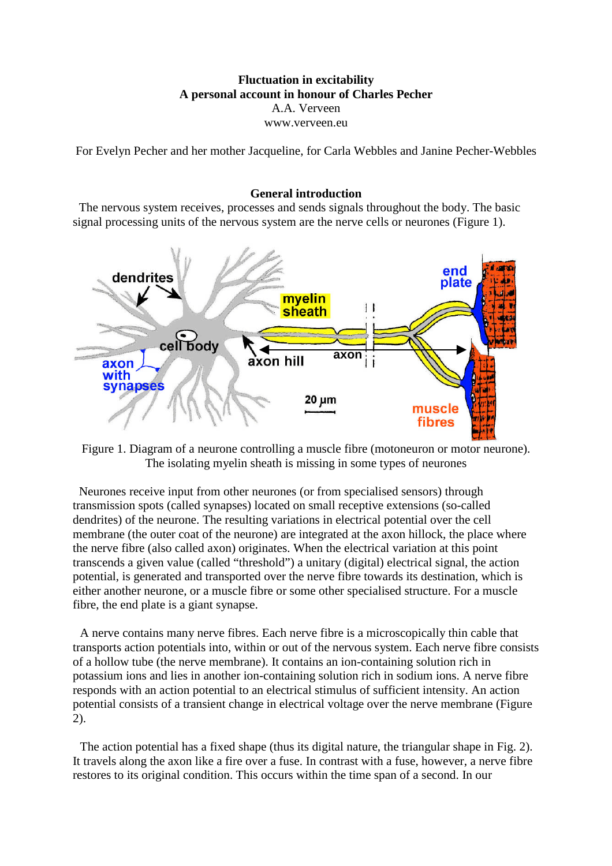# **Fluctuation in excitability A personal account in honour of Charles Pecher** A.A. Verveen www.verveen.eu

For Evelyn Pecher and her mother Jacqueline, for Carla Webbles and Janine Pecher-Webbles

## **General introduction**

The nervous system receives, processes and sends signals throughout the body. The basic signal processing units of the nervous system are the nerve cells or neurones (Figure 1).



Figure 1. Diagram of a neurone controlling a muscle fibre (motoneuron or motor neurone). The isolating myelin sheath is missing in some types of neurones

Neurones receive input from other neurones (or from specialised sensors) through transmission spots (called synapses) located on small receptive extensions (so-called dendrites) of the neurone. The resulting variations in electrical potential over the cell membrane (the outer coat of the neurone) are integrated at the axon hillock, the place where the nerve fibre (also called axon) originates. When the electrical variation at this point transcends a given value (called "threshold") a unitary (digital) electrical signal, the action potential, is generated and transported over the nerve fibre towards its destination, which is either another neurone, or a muscle fibre or some other specialised structure. For a muscle fibre, the end plate is a giant synapse.

A nerve contains many nerve fibres. Each nerve fibre is a microscopically thin cable that transports action potentials into, within or out of the nervous system. Each nerve fibre consists of a hollow tube (the nerve membrane). It contains an ion-containing solution rich in potassium ions and lies in another ion-containing solution rich in sodium ions. A nerve fibre responds with an action potential to an electrical stimulus of sufficient intensity. An action potential consists of a transient change in electrical voltage over the nerve membrane (Figure 2).

The action potential has a fixed shape (thus its digital nature, the triangular shape in Fig. 2). It travels along the axon like a fire over a fuse. In contrast with a fuse, however, a nerve fibre restores to its original condition. This occurs within the time span of a second. In our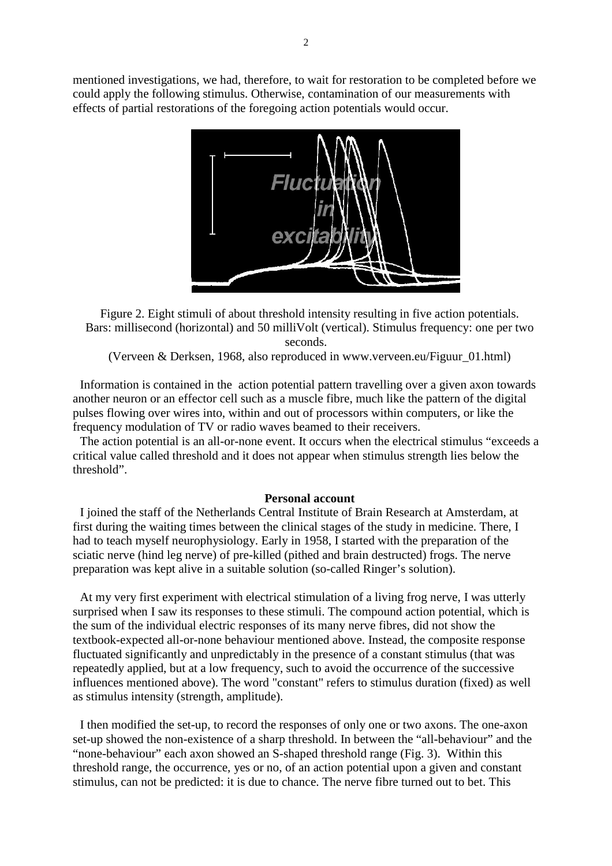mentioned investigations, we had, therefore, to wait for restoration to be completed before we could apply the following stimulus. Otherwise, contamination of our measurements with effects of partial restorations of the foregoing action potentials would occur.



Figure 2. Eight stimuli of about threshold intensity resulting in five action potentials. Bars: millisecond (horizontal) and 50 milliVolt (vertical). Stimulus frequency: one per two seconds.

(Verveen & Derksen, 1968, also reproduced in www.verveen.eu/Figuur\_01.html)

Information is contained in the action potential pattern travelling over a given axon towards another neuron or an effector cell such as a muscle fibre, much like the pattern of the digital pulses flowing over wires into, within and out of processors within computers, or like the frequency modulation of TV or radio waves beamed to their receivers.

The action potential is an all-or-none event. It occurs when the electrical stimulus "exceeds a critical value called threshold and it does not appear when stimulus strength lies below the threshold".

## **Personal account**

I joined the staff of the Netherlands Central Institute of Brain Research at Amsterdam, at first during the waiting times between the clinical stages of the study in medicine. There, I had to teach myself neurophysiology. Early in 1958, I started with the preparation of the sciatic nerve (hind leg nerve) of pre-killed (pithed and brain destructed) frogs. The nerve preparation was kept alive in a suitable solution (so-called Ringer's solution).

At my very first experiment with electrical stimulation of a living frog nerve, I was utterly surprised when I saw its responses to these stimuli. The compound action potential, which is the sum of the individual electric responses of its many nerve fibres, did not show the textbook-expected all-or-none behaviour mentioned above. Instead, the composite response fluctuated significantly and unpredictably in the presence of a constant stimulus (that was repeatedly applied, but at a low frequency, such to avoid the occurrence of the successive influences mentioned above). The word "constant" refers to stimulus duration (fixed) as well as stimulus intensity (strength, amplitude).

I then modified the set-up, to record the responses of only one or two axons. The one-axon set-up showed the non-existence of a sharp threshold. In between the "all-behaviour" and the "none-behaviour" each axon showed an S-shaped threshold range (Fig. 3). Within this threshold range, the occurrence, yes or no, of an action potential upon a given and constant stimulus, can not be predicted: it is due to chance. The nerve fibre turned out to bet. This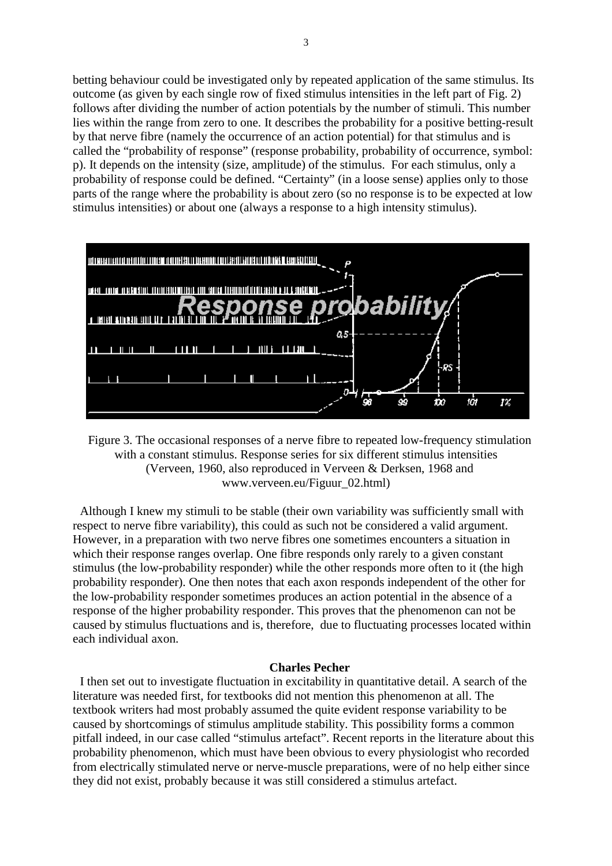betting behaviour could be investigated only by repeated application of the same stimulus. Its outcome (as given by each single row of fixed stimulus intensities in the left part of Fig. 2) follows after dividing the number of action potentials by the number of stimuli. This number lies within the range from zero to one. It describes the probability for a positive betting-result by that nerve fibre (namely the occurrence of an action potential) for that stimulus and is called the "probability of response" (response probability, probability of occurrence, symbol: p). It depends on the intensity (size, amplitude) of the stimulus. For each stimulus, only a probability of response could be defined. "Certainty" (in a loose sense) applies only to those parts of the range where the probability is about zero (so no response is to be expected at low stimulus intensities) or about one (always a response to a high intensity stimulus).



Figure 3. The occasional responses of a nerve fibre to repeated low-frequency stimulation with a constant stimulus. Response series for six different stimulus intensities (Verveen, 1960, also reproduced in Verveen & Derksen, 1968 and www.verveen.eu/Figuur\_02.html)

Although I knew my stimuli to be stable (their own variability was sufficiently small with respect to nerve fibre variability), this could as such not be considered a valid argument. However, in a preparation with two nerve fibres one sometimes encounters a situation in which their response ranges overlap. One fibre responds only rarely to a given constant stimulus (the low-probability responder) while the other responds more often to it (the high probability responder). One then notes that each axon responds independent of the other for the low-probability responder sometimes produces an action potential in the absence of a response of the higher probability responder. This proves that the phenomenon can not be caused by stimulus fluctuations and is, therefore, due to fluctuating processes located within each individual axon.

# **Charles Pecher**

I then set out to investigate fluctuation in excitability in quantitative detail. A search of the literature was needed first, for textbooks did not mention this phenomenon at all. The textbook writers had most probably assumed the quite evident response variability to be caused by shortcomings of stimulus amplitude stability. This possibility forms a common pitfall indeed, in our case called "stimulus artefact". Recent reports in the literature about this probability phenomenon, which must have been obvious to every physiologist who recorded from electrically stimulated nerve or nerve-muscle preparations, were of no help either since they did not exist, probably because it was still considered a stimulus artefact.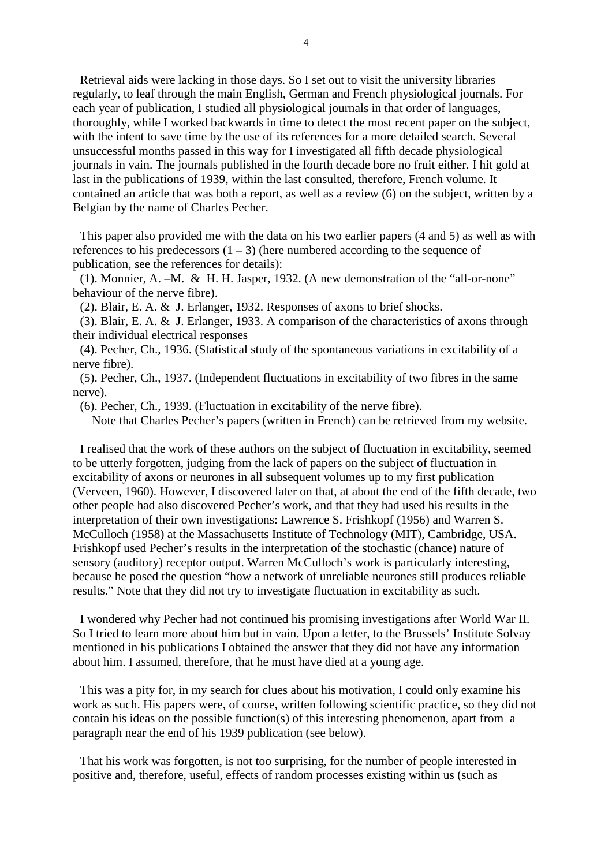Retrieval aids were lacking in those days. So I set out to visit the university libraries regularly, to leaf through the main English, German and French physiological journals. For each year of publication, I studied all physiological journals in that order of languages, thoroughly, while I worked backwards in time to detect the most recent paper on the subject, with the intent to save time by the use of its references for a more detailed search. Several unsuccessful months passed in this way for I investigated all fifth decade physiological journals in vain. The journals published in the fourth decade bore no fruit either. I hit gold at last in the publications of 1939, within the last consulted, therefore, French volume. It contained an article that was both a report, as well as a review (6) on the subject, written by a Belgian by the name of Charles Pecher.

This paper also provided me with the data on his two earlier papers (4 and 5) as well as with references to his predecessors  $(1 – 3)$  (here numbered according to the sequence of publication, see the references for details):

(1). Monnier, A. –M. & H. H. Jasper, 1932. (A new demonstration of the "all-or-none" behaviour of the nerve fibre).

(2). Blair, E. A. & J. Erlanger, 1932. Responses of axons to brief shocks.

(3). Blair, E. A. & J. Erlanger, 1933. A comparison of the characteristics of axons through their individual electrical responses

(4). Pecher, Ch., 1936. (Statistical study of the spontaneous variations in excitability of a nerve fibre).

(5). Pecher, Ch., 1937. (Independent fluctuations in excitability of two fibres in the same nerve).

(6). Pecher, Ch., 1939. (Fluctuation in excitability of the nerve fibre).

Note that Charles Pecher's papers (written in French) can be retrieved from my website.

I realised that the work of these authors on the subject of fluctuation in excitability, seemed to be utterly forgotten, judging from the lack of papers on the subject of fluctuation in excitability of axons or neurones in all subsequent volumes up to my first publication (Verveen, 1960). However, I discovered later on that, at about the end of the fifth decade, two other people had also discovered Pecher's work, and that they had used his results in the interpretation of their own investigations: Lawrence S. Frishkopf (1956) and Warren S. McCulloch (1958) at the Massachusetts Institute of Technology (MIT), Cambridge, USA. Frishkopf used Pecher's results in the interpretation of the stochastic (chance) nature of sensory (auditory) receptor output. Warren McCulloch's work is particularly interesting, because he posed the question "how a network of unreliable neurones still produces reliable results." Note that they did not try to investigate fluctuation in excitability as such.

I wondered why Pecher had not continued his promising investigations after World War II. So I tried to learn more about him but in vain. Upon a letter, to the Brussels' Institute Solvay mentioned in his publications I obtained the answer that they did not have any information about him. I assumed, therefore, that he must have died at a young age.

This was a pity for, in my search for clues about his motivation, I could only examine his work as such. His papers were, of course, written following scientific practice, so they did not contain his ideas on the possible function(s) of this interesting phenomenon, apart from a paragraph near the end of his 1939 publication (see below).

That his work was forgotten, is not too surprising, for the number of people interested in positive and, therefore, useful, effects of random processes existing within us (such as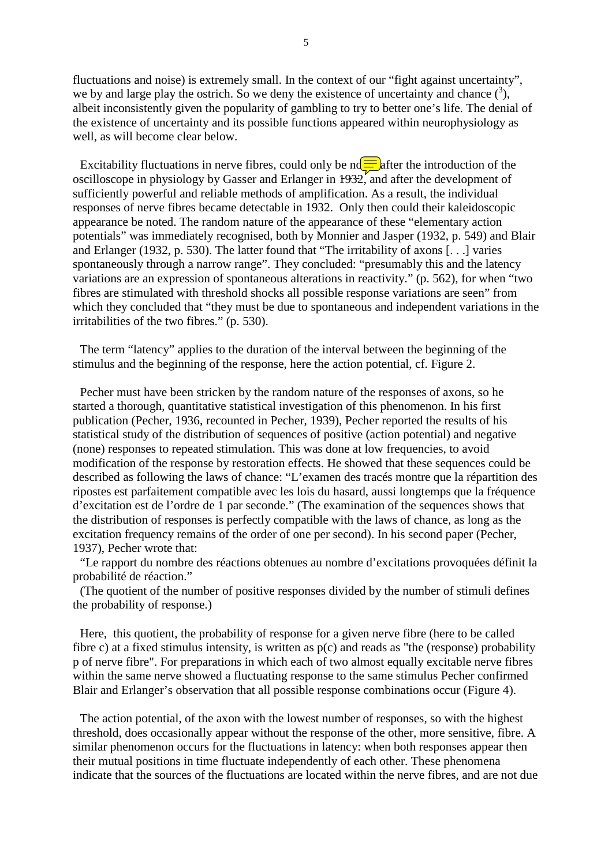fluctuations and noise) is extremely small. In the context of our "fight against uncertainty", we by and large play the ostrich. So we deny the existence of uncertainty and chance  $(3)$ , albeit inconsistently given the popularity of gambling to try to better one's life. The denial of the existence of uncertainty and its possible functions appeared within neurophysiology as well, as will become clear below.

Excitability fluctuations in nerve fibres, could only be  $n\epsilon$  after the introduction of the oscilloscope in physiology by Gasser and Erlanger in  $1932'$ , and after the development of sufficiently powerful and reliable methods of amplification. As a result, the individual responses of nerve fibres became detectable in 1932. Only then could their kaleidoscopic appearance be noted. The random nature of the appearance of these "elementary action potentials" was immediately recognised, both by Monnier and Jasper (1932, p. 549) and Blair and Erlanger (1932, p. 530). The latter found that "The irritability of axons [. . .] varies spontaneously through a narrow range". They concluded: "presumably this and the latency variations are an expression of spontaneous alterations in reactivity." (p. 562), for when "two fibres are stimulated with threshold shocks all possible response variations are seen" from which they concluded that "they must be due to spontaneous and independent variations in the irritabilities of the two fibres." (p. 530).

The term "latency" applies to the duration of the interval between the beginning of the stimulus and the beginning of the response, here the action potential, cf. Figure 2.

Pecher must have been stricken by the random nature of the responses of axons, so he started a thorough, quantitative statistical investigation of this phenomenon. In his first publication (Pecher, 1936, recounted in Pecher, 1939), Pecher reported the results of his statistical study of the distribution of sequences of positive (action potential) and negative (none) responses to repeated stimulation. This was done at low frequencies, to avoid modification of the response by restoration effects. He showed that these sequences could be described as following the laws of chance: "L'examen des tracés montre que la répartition des ripostes est parfaitement compatible avec les lois du hasard, aussi longtemps que la fréquence d'excitation est de l'ordre de 1 par seconde." (The examination of the sequences shows that the distribution of responses is perfectly compatible with the laws of chance, as long as the excitation frequency remains of the order of one per second). In his second paper (Pecher, 1937), Pecher wrote that:

"Le rapport du nombre des réactions obtenues au nombre d'excitations provoquées définit la probabilité de réaction."

(The quotient of the number of positive responses divided by the number of stimuli defines the probability of response.)

Here, this quotient, the probability of response for a given nerve fibre (here to be called fibre c) at a fixed stimulus intensity, is written as  $p(c)$  and reads as "the (response) probability p of nerve fibre". For preparations in which each of two almost equally excitable nerve fibres within the same nerve showed a fluctuating response to the same stimulus Pecher confirmed Blair and Erlanger's observation that all possible response combinations occur (Figure 4).

The action potential, of the axon with the lowest number of responses, so with the highest threshold, does occasionally appear without the response of the other, more sensitive, fibre. A similar phenomenon occurs for the fluctuations in latency: when both responses appear then their mutual positions in time fluctuate independently of each other. These phenomena indicate that the sources of the fluctuations are located within the nerve fibres, and are not due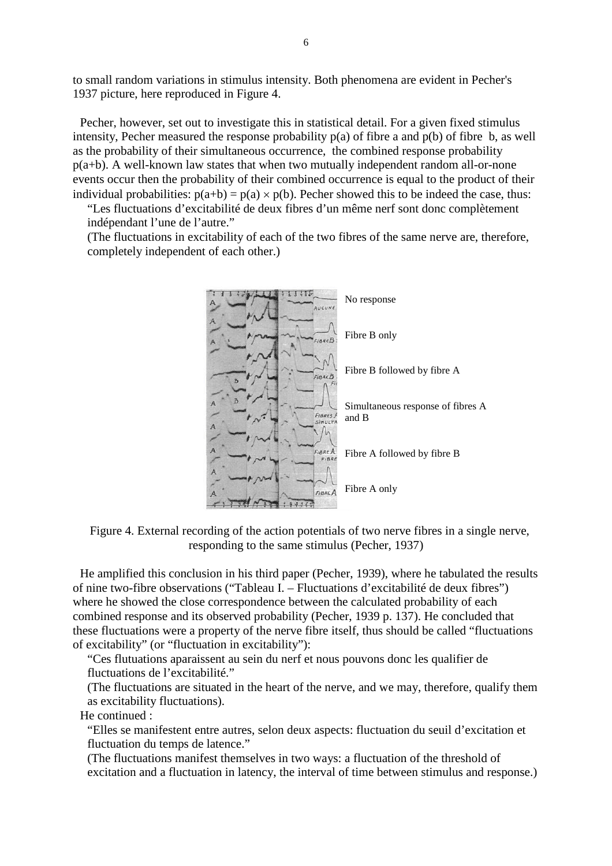to small random variations in stimulus intensity. Both phenomena are evident in Pecher's 1937 picture, here reproduced in Figure 4.

Pecher, however, set out to investigate this in statistical detail. For a given fixed stimulus intensity, Pecher measured the response probability  $p(a)$  of fibre a and  $p(b)$  of fibre b, as well as the probability of their simultaneous occurrence, the combined response probability p(a+b). A well-known law states that when two mutually independent random all-or-none events occur then the probability of their combined occurrence is equal to the product of their individual probabilities:  $p(a+b) = p(a) \times p(b)$ . Pecher showed this to be indeed the case, thus:

"Les fluctuations d'excitabilité de deux fibres d'un même nerf sont donc complètement indépendant l'une de l'autre."

(The fluctuations in excitability of each of the two fibres of the same nerve are, therefore, completely independent of each other.)



Figure 4. External recording of the action potentials of two nerve fibres in a single nerve, responding to the same stimulus (Pecher, 1937)

He amplified this conclusion in his third paper (Pecher, 1939), where he tabulated the results of nine two-fibre observations ("Tableau I. – Fluctuations d'excitabilité de deux fibres") where he showed the close correspondence between the calculated probability of each combined response and its observed probability (Pecher, 1939 p. 137). He concluded that these fluctuations were a property of the nerve fibre itself, thus should be called "fluctuations of excitability" (or "fluctuation in excitability"):

"Ces flutuations aparaissent au sein du nerf et nous pouvons donc les qualifier de fluctuations de l'excitabilité."

(The fluctuations are situated in the heart of the nerve, and we may, therefore, qualify them as excitability fluctuations).

He continued :

"Elles se manifestent entre autres, selon deux aspects: fluctuation du seuil d'excitation et fluctuation du temps de latence."

(The fluctuations manifest themselves in two ways: a fluctuation of the threshold of excitation and a fluctuation in latency, the interval of time between stimulus and response.)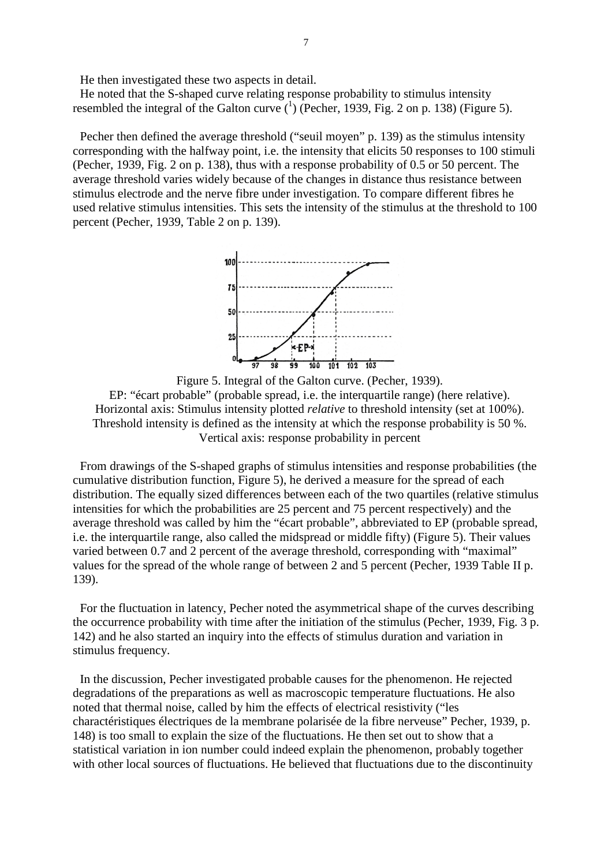He then investigated these two aspects in detail.

He noted that the S-shaped curve relating response probability to stimulus intensity resembled the integral of the Galton curve  $({}^{1})$  (Pecher, 1939, Fig. 2 on p. 138) (Figure 5).

Pecher then defined the average threshold ("seuil moyen" p. 139) as the stimulus intensity corresponding with the halfway point, i.e. the intensity that elicits 50 responses to 100 stimuli (Pecher, 1939, Fig. 2 on p. 138), thus with a response probability of 0.5 or 50 percent. The average threshold varies widely because of the changes in distance thus resistance between stimulus electrode and the nerve fibre under investigation. To compare different fibres he used relative stimulus intensities. This sets the intensity of the stimulus at the threshold to 100 percent (Pecher, 1939, Table 2 on p. 139).



Figure 5. Integral of the Galton curve. (Pecher, 1939). EP: "écart probable" (probable spread, i.e. the interquartile range) (here relative). Horizontal axis: Stimulus intensity plotted *relative* to threshold intensity (set at 100%). Threshold intensity is defined as the intensity at which the response probability is 50 %. Vertical axis: response probability in percent

From drawings of the S-shaped graphs of stimulus intensities and response probabilities (the cumulative distribution function, Figure 5), he derived a measure for the spread of each distribution. The equally sized differences between each of the two quartiles (relative stimulus intensities for which the probabilities are 25 percent and 75 percent respectively) and the average threshold was called by him the "écart probable", abbreviated to EP (probable spread, i.e. the interquartile range, also called the midspread or middle fifty) (Figure 5). Their values varied between 0.7 and 2 percent of the average threshold, corresponding with "maximal" values for the spread of the whole range of between 2 and 5 percent (Pecher, 1939 Table II p. 139).

For the fluctuation in latency, Pecher noted the asymmetrical shape of the curves describing the occurrence probability with time after the initiation of the stimulus (Pecher, 1939, Fig. 3 p. 142) and he also started an inquiry into the effects of stimulus duration and variation in stimulus frequency.

In the discussion, Pecher investigated probable causes for the phenomenon. He rejected degradations of the preparations as well as macroscopic temperature fluctuations. He also noted that thermal noise, called by him the effects of electrical resistivity ("les charactéristiques électriques de la membrane polarisée de la fibre nerveuse" Pecher, 1939, p. 148) is too small to explain the size of the fluctuations. He then set out to show that a statistical variation in ion number could indeed explain the phenomenon, probably together with other local sources of fluctuations. He believed that fluctuations due to the discontinuity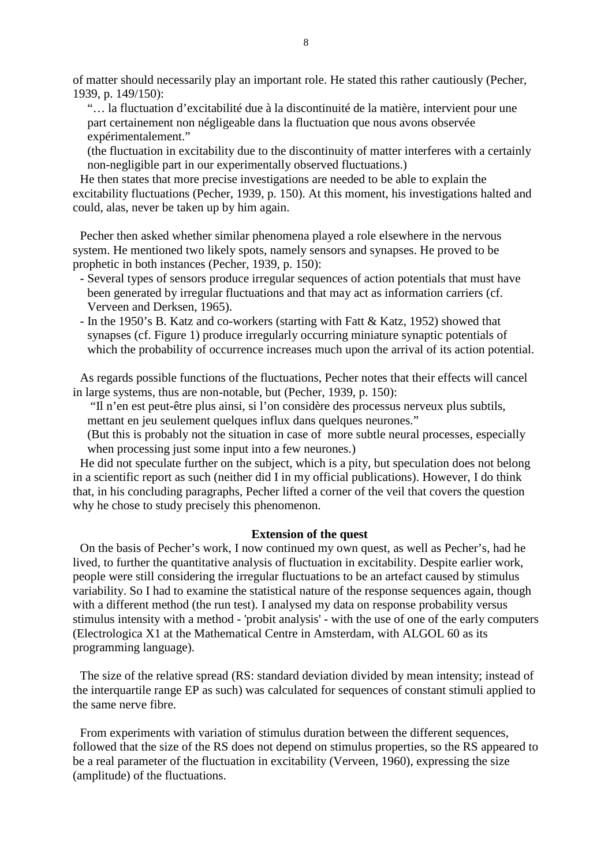of matter should necessarily play an important role. He stated this rather cautiously (Pecher, 1939, p. 149/150):

"… la fluctuation d'excitabilité due à la discontinuité de la matière, intervient pour une part certainement non négligeable dans la fluctuation que nous avons observée expérimentalement."

(the fluctuation in excitability due to the discontinuity of matter interferes with a certainly non-negligible part in our experimentally observed fluctuations.)

He then states that more precise investigations are needed to be able to explain the excitability fluctuations (Pecher, 1939, p. 150). At this moment, his investigations halted and could, alas, never be taken up by him again.

Pecher then asked whether similar phenomena played a role elsewhere in the nervous system. He mentioned two likely spots, namely sensors and synapses. He proved to be prophetic in both instances (Pecher, 1939, p. 150):

- Several types of sensors produce irregular sequences of action potentials that must have been generated by irregular fluctuations and that may act as information carriers (cf. Verveen and Derksen, 1965).
- In the 1950's B. Katz and co-workers (starting with Fatt & Katz, 1952) showed that synapses (cf. Figure 1) produce irregularly occurring miniature synaptic potentials of which the probability of occurrence increases much upon the arrival of its action potential.

As regards possible functions of the fluctuations, Pecher notes that their effects will cancel in large systems, thus are non-notable, but (Pecher, 1939, p. 150):

"Il n'en est peut-être plus ainsi, si l'on considère des processus nerveux plus subtils, mettant en jeu seulement quelques influx dans quelques neurones."

(But this is probably not the situation in case of more subtle neural processes, especially when processing just some input into a few neurones.)

He did not speculate further on the subject, which is a pity, but speculation does not belong in a scientific report as such (neither did I in my official publications). However, I do think that, in his concluding paragraphs, Pecher lifted a corner of the veil that covers the question why he chose to study precisely this phenomenon.

## **Extension of the quest**

On the basis of Pecher's work, I now continued my own quest, as well as Pecher's, had he lived, to further the quantitative analysis of fluctuation in excitability. Despite earlier work, people were still considering the irregular fluctuations to be an artefact caused by stimulus variability. So I had to examine the statistical nature of the response sequences again, though with a different method (the run test). I analysed my data on response probability versus stimulus intensity with a method - 'probit analysis' - with the use of one of the early computers (Electrologica X1 at the Mathematical Centre in Amsterdam, with ALGOL 60 as its programming language).

The size of the relative spread (RS: standard deviation divided by mean intensity; instead of the interquartile range EP as such) was calculated for sequences of constant stimuli applied to the same nerve fibre.

From experiments with variation of stimulus duration between the different sequences, followed that the size of the RS does not depend on stimulus properties, so the RS appeared to be a real parameter of the fluctuation in excitability (Verveen, 1960), expressing the size (amplitude) of the fluctuations.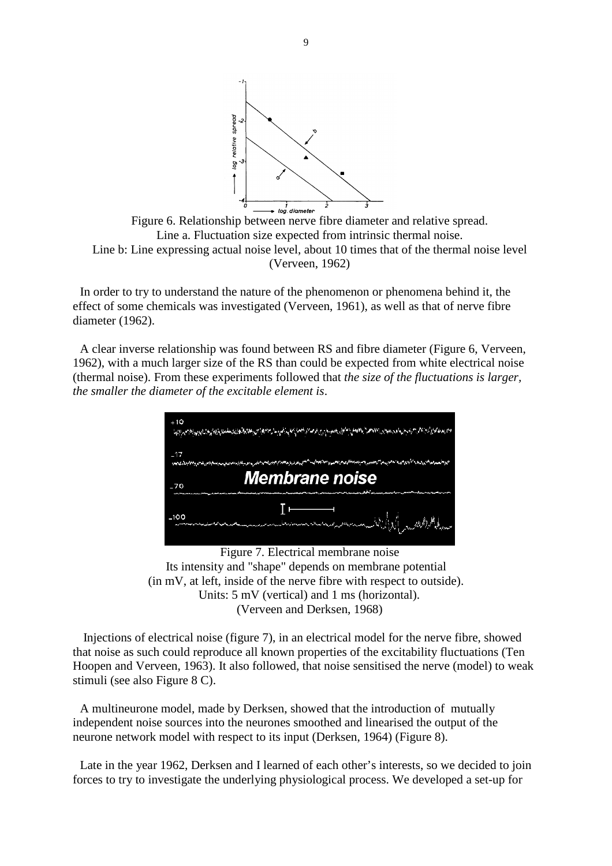

Figure 6. Relationship between nerve fibre diameter and relative spread. Line a. Fluctuation size expected from intrinsic thermal noise. Line b: Line expressing actual noise level, about 10 times that of the thermal noise level (Verveen, 1962)

In order to try to understand the nature of the phenomenon or phenomena behind it, the effect of some chemicals was investigated (Verveen, 1961), as well as that of nerve fibre diameter (1962).

A clear inverse relationship was found between RS and fibre diameter (Figure 6, Verveen, 1962), with a much larger size of the RS than could be expected from white electrical noise (thermal noise). From these experiments followed that *the size of the fluctuations is larger, the smaller the diameter of the excitable element is*.



Figure 7. Electrical membrane noise Its intensity and "shape" depends on membrane potential (in mV, at left, inside of the nerve fibre with respect to outside). Units: 5 mV (vertical) and 1 ms (horizontal). (Verveen and Derksen, 1968)

Injections of electrical noise (figure 7), in an electrical model for the nerve fibre, showed that noise as such could reproduce all known properties of the excitability fluctuations (Ten Hoopen and Verveen, 1963). It also followed, that noise sensitised the nerve (model) to weak stimuli (see also Figure 8 C).

A multineurone model, made by Derksen, showed that the introduction of mutually independent noise sources into the neurones smoothed and linearised the output of the neurone network model with respect to its input (Derksen, 1964) (Figure 8).

Late in the year 1962, Derksen and I learned of each other's interests, so we decided to join forces to try to investigate the underlying physiological process. We developed a set-up for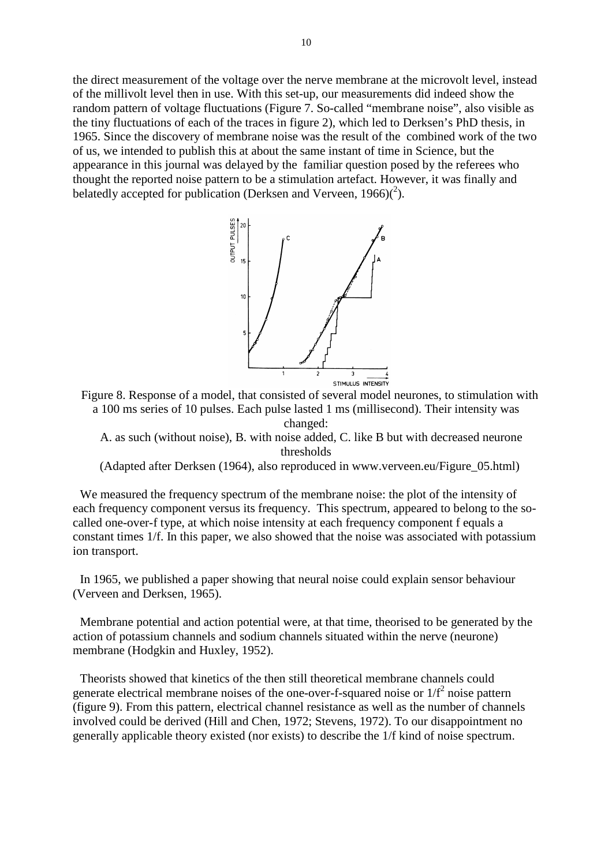the direct measurement of the voltage over the nerve membrane at the microvolt level, instead of the millivolt level then in use. With this set-up, our measurements did indeed show the random pattern of voltage fluctuations (Figure 7. So-called "membrane noise", also visible as the tiny fluctuations of each of the traces in figure 2), which led to Derksen's PhD thesis, in 1965. Since the discovery of membrane noise was the result of the combined work of the two of us, we intended to publish this at about the same instant of time in Science, but the appearance in this journal was delayed by the familiar question posed by the referees who thought the reported noise pattern to be a stimulation artefact. However, it was finally and belatedly accepted for publication (Derksen and Verveen,  $1966$ ) $(^2$ ).



Figure 8. Response of a model, that consisted of several model neurones, to stimulation with a 100 ms series of 10 pulses. Each pulse lasted 1 ms (millisecond). Their intensity was changed:

A. as such (without noise), B. with noise added, C. like B but with decreased neurone thresholds

(Adapted after Derksen (1964), also reproduced in www.verveen.eu/Figure\_05.html)

We measured the frequency spectrum of the membrane noise: the plot of the intensity of each frequency component versus its frequency. This spectrum, appeared to belong to the socalled one-over-f type, at which noise intensity at each frequency component f equals a constant times 1/f. In this paper, we also showed that the noise was associated with potassium ion transport.

In 1965, we published a paper showing that neural noise could explain sensor behaviour (Verveen and Derksen, 1965).

Membrane potential and action potential were, at that time, theorised to be generated by the action of potassium channels and sodium channels situated within the nerve (neurone) membrane (Hodgkin and Huxley, 1952).

Theorists showed that kinetics of the then still theoretical membrane channels could generate electrical membrane noises of the one-over-f-squared noise or  $1/f<sup>2</sup>$  noise pattern (figure 9). From this pattern, electrical channel resistance as well as the number of channels involved could be derived (Hill and Chen, 1972; Stevens, 1972). To our disappointment no generally applicable theory existed (nor exists) to describe the 1/f kind of noise spectrum.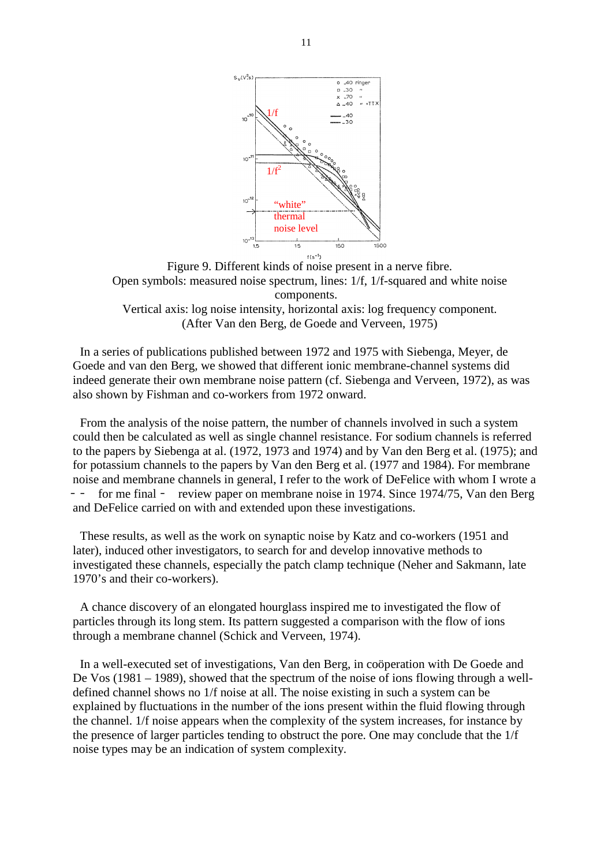

Figure 9. Different kinds of noise present in a nerve fibre. Open symbols: measured noise spectrum, lines: 1/f, 1/f-squared and white noise components. Vertical axis: log noise intensity, horizontal axis: log frequency component. (After Van den Berg, de Goede and Verveen, 1975)

In a series of publications published between 1972 and 1975 with Siebenga, Meyer, de Goede and van den Berg, we showed that different ionic membrane-channel systems did indeed generate their own membrane noise pattern (cf. Siebenga and Verveen, 1972), as was also shown by Fishman and co-workers from 1972 onward.

From the analysis of the noise pattern, the number of channels involved in such a system could then be calculated as well as single channel resistance. For sodium channels is referred to the papers by Siebenga at al. (1972, 1973 and 1974) and by Van den Berg et al. (1975); and for potassium channels to the papers by Van den Berg et al. (1977 and 1984). For membrane noise and membrane channels in general, I refer to the work of DeFelice with whom I wrote a for me final  $-$  review paper on membrane noise in 1974. Since 1974/75, Van den Berg and DeFelice carried on with and extended upon these investigations.

These results, as well as the work on synaptic noise by Katz and co-workers (1951 and later), induced other investigators, to search for and develop innovative methods to investigated these channels, especially the patch clamp technique (Neher and Sakmann, late 1970's and their co-workers).

A chance discovery of an elongated hourglass inspired me to investigated the flow of particles through its long stem. Its pattern suggested a comparison with the flow of ions through a membrane channel (Schick and Verveen, 1974).

In a well-executed set of investigations, Van den Berg, in coöperation with De Goede and De Vos (1981 – 1989), showed that the spectrum of the noise of ions flowing through a welldefined channel shows no 1/f noise at all. The noise existing in such a system can be explained by fluctuations in the number of the ions present within the fluid flowing through the channel. 1/f noise appears when the complexity of the system increases, for instance by the presence of larger particles tending to obstruct the pore. One may conclude that the 1/f noise types may be an indication of system complexity.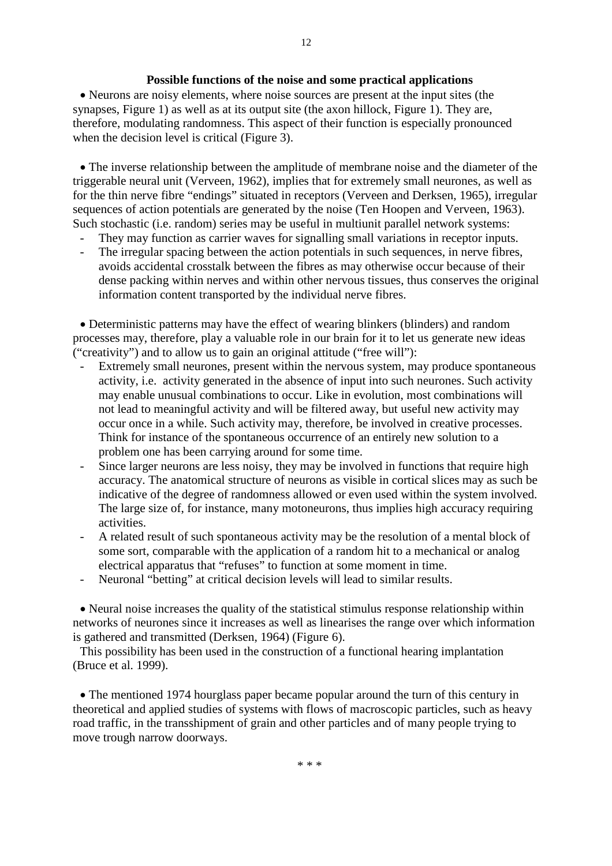## **Possible functions of the noise and some practical applications**

 Neurons are noisy elements, where noise sources are present at the input sites (the synapses, Figure 1) as well as at its output site (the axon hillock, Figure 1). They are, therefore, modulating randomness. This aspect of their function is especially pronounced when the decision level is critical (Figure 3).

 The inverse relationship between the amplitude of membrane noise and the diameter of the triggerable neural unit (Verveen, 1962), implies that for extremely small neurones, as well as for the thin nerve fibre "endings" situated in receptors (Verveen and Derksen, 1965), irregular sequences of action potentials are generated by the noise (Ten Hoopen and Verveen, 1963). Such stochastic (i.e. random) series may be useful in multiunit parallel network systems:

- They may function as carrier waves for signalling small variations in receptor inputs.
- The irregular spacing between the action potentials in such sequences, in nerve fibres, avoids accidental crosstalk between the fibres as may otherwise occur because of their dense packing within nerves and within other nervous tissues, thus conserves the original information content transported by the individual nerve fibres.

 Deterministic patterns may have the effect of wearing blinkers (blinders) and random processes may, therefore, play a valuable role in our brain for it to let us generate new ideas ("creativity") and to allow us to gain an original attitude ("free will"):

- Extremely small neurones, present within the nervous system, may produce spontaneous activity, i.e. activity generated in the absence of input into such neurones. Such activity may enable unusual combinations to occur. Like in evolution, most combinations will not lead to meaningful activity and will be filtered away, but useful new activity may occur once in a while. Such activity may, therefore, be involved in creative processes. Think for instance of the spontaneous occurrence of an entirely new solution to a problem one has been carrying around for some time.
- Since larger neurons are less noisy, they may be involved in functions that require high accuracy. The anatomical structure of neurons as visible in cortical slices may as such be indicative of the degree of randomness allowed or even used within the system involved. The large size of, for instance, many motoneurons, thus implies high accuracy requiring activities.
- A related result of such spontaneous activity may be the resolution of a mental block of some sort, comparable with the application of a random hit to a mechanical or analog electrical apparatus that "refuses" to function at some moment in time.
- Neuronal "betting" at critical decision levels will lead to similar results.

 Neural noise increases the quality of the statistical stimulus response relationship within networks of neurones since it increases as well as linearises the range over which information is gathered and transmitted (Derksen, 1964) (Figure 6).

This possibility has been used in the construction of a functional hearing implantation (Bruce et al. 1999).

 The mentioned 1974 hourglass paper became popular around the turn of this century in theoretical and applied studies of systems with flows of macroscopic particles, such as heavy road traffic, in the transshipment of grain and other particles and of many people trying to move trough narrow doorways.

12

\* \* \*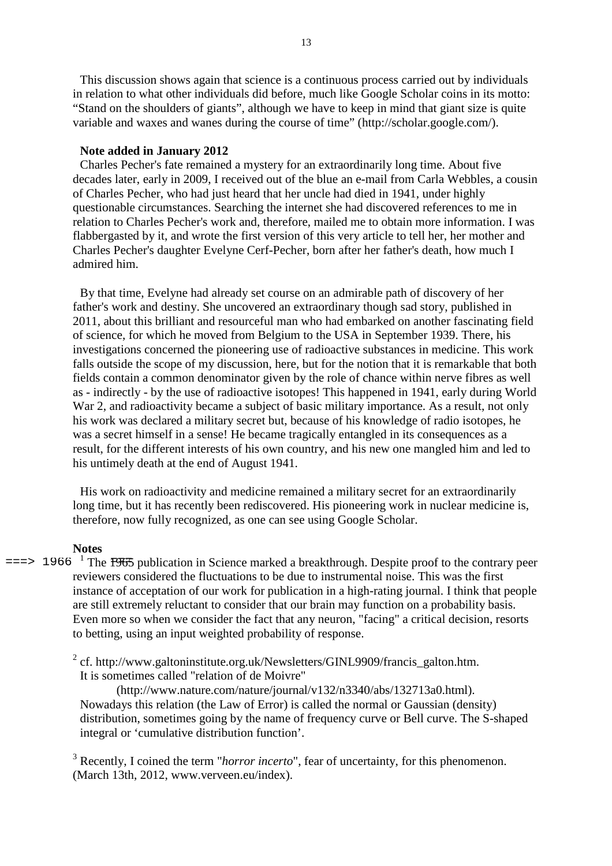This discussion shows again that science is a continuous process carried out by individuals in relation to what other individuals did before, much like Google Scholar coins in its motto: "Stand on the shoulders of giants", although we have to keep in mind that giant size is quite variable and waxes and wanes during the course of time" (http://scholar.google.com/).

#### **Note added in January 2012**

Charles Pecher's fate remained a mystery for an extraordinarily long time. About five decades later, early in 2009, I received out of the blue an e-mail from Carla Webbles, a cousin of Charles Pecher, who had just heard that her uncle had died in 1941, under highly questionable circumstances. Searching the internet she had discovered references to me in relation to Charles Pecher's work and, therefore, mailed me to obtain more information. I was flabbergasted by it, and wrote the first version of this very article to tell her, her mother and Charles Pecher's daughter Evelyne Cerf-Pecher, born after her father's death, how much I admired him.

By that time, Evelyne had already set course on an admirable path of discovery of her father's work and destiny. She uncovered an extraordinary though sad story, published in 2011, about this brilliant and resourceful man who had embarked on another fascinating field of science, for which he moved from Belgium to the USA in September 1939. There, his investigations concerned the pioneering use of radioactive substances in medicine. This work falls outside the scope of my discussion, here, but for the notion that it is remarkable that both fields contain a common denominator given by the role of chance within nerve fibres as well as - indirectly - by the use of radioactive isotopes! This happened in 1941, early during World War 2, and radioactivity became a subject of basic military importance. As a result, not only his work was declared a military secret but, because of his knowledge of radio isotopes, he was a secret himself in a sense! He became tragically entangled in its consequences as a result, for the different interests of his own country, and his new one mangled him and led to his untimely death at the end of August 1941.

His work on radioactivity and medicine remained a military secret for an extraordinarily long time, but it has recently been rediscovered. His pioneering work in nuclear medicine is, therefore, now fully recognized, as one can see using Google Scholar.

#### **Notes**

 $\epsilon$ ==> 1966<sup>1</sup> The <del>1965</del> publication in Science marked a breakthrough. Despite proof to the contrary peer reviewers considered the fluctuations to be due to instrumental noise. This was the first instance of acceptation of our work for publication in a high-rating journal. I think that people are still extremely reluctant to consider that our brain may function on a probability basis. Even more so when we consider the fact that any neuron, "facing" a critical decision, resorts to betting, using an input weighted probability of response.

> $2^2$  cf. http://www.galtoninstitute.org.uk/Newsletters/GINL9909/francis\_galton.htm. It is sometimes called "relation of de Moivre"

(http://www.nature.com/nature/journal/v132/n3340/abs/132713a0.html). Nowadays this relation (the Law of Error) is called the normal or Gaussian (density) distribution, sometimes going by the name of frequency curve or Bell curve. The S-shaped integral or 'cumulative distribution function'.

<sup>3</sup> Recently, I coined the term "*horror incerto*", fear of uncertainty, for this phenomenon. (March 13th, 2012, www.verveen.eu/index).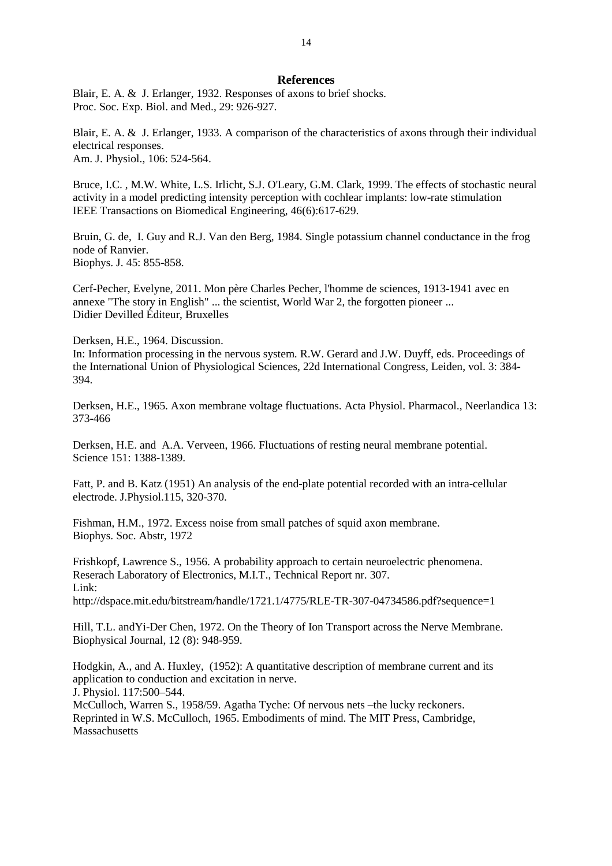#### **References**

Blair, E. A. & J. Erlanger, 1932. Responses of axons to brief shocks. Proc. Soc. Exp. Biol. and Med., 29: 926-927.

Blair, E. A. & J. Erlanger, 1933. A comparison of the characteristics of axons through their individual electrical responses. Am. J. Physiol., 106: 524-564.

Bruce, I.C. , M.W. White, L.S. Irlicht, S.J. O'Leary, G.M. Clark, 1999. The effects of stochastic neural activity in a model predicting intensity perception with cochlear implants: low-rate stimulation IEEE Transactions on Biomedical Engineering, 46(6):617-629.

Bruin, G. de, I. Guy and R.J. Van den Berg, 1984. Single potassium channel conductance in the frog node of Ranvier. Biophys. J. 45: 855-858.

Cerf-Pecher, Evelyne, 2011. Mon père Charles Pecher, l'homme de sciences, 1913-1941 avec en annexe "The story in English" ... the scientist, World War 2, the forgotten pioneer ... Didier Devilled Éditeur, Bruxelles

Derksen, H.E., 1964. Discussion.

In: Information processing in the nervous system. R.W. Gerard and J.W. Duyff, eds. Proceedings of the International Union of Physiological Sciences, 22d International Congress, Leiden, vol. 3: 384- 394.

Derksen, H.E., 1965. Axon membrane voltage fluctuations. Acta Physiol. Pharmacol., Neerlandica 13: 373-466

Derksen, H.E. and A.A. Verveen, 1966. Fluctuations of resting neural membrane potential. Science 151: 1388-1389.

Fatt, P. and B. Katz (1951) An analysis of the end-plate potential recorded with an intra-cellular electrode. J.Physiol.115, 320-370.

Fishman, H.M., 1972. Excess noise from small patches of squid axon membrane. Biophys. Soc. Abstr, 1972

Frishkopf, Lawrence S., 1956. A probability approach to certain neuroelectric phenomena. Reserach Laboratory of Electronics, M.I.T., Technical Report nr. 307. Link: http://dspace.mit.edu/bitstream/handle/1721.1/4775/RLE-TR-307-04734586.pdf?sequence=1

Hill, T.L. andYi-Der Chen, 1972. On the Theory of Ion Transport across the Nerve Membrane. Biophysical Journal, 12 (8): 948-959.

Hodgkin, A., and A. Huxley, (1952): A quantitative description of membrane current and its application to conduction and excitation in nerve. J. Physiol. 117:500–544. McCulloch, Warren S., 1958/59. Agatha Tyche: Of nervous nets –the lucky reckoners.

Reprinted in W.S. McCulloch, 1965. Embodiments of mind. The MIT Press, Cambridge, **Massachusetts**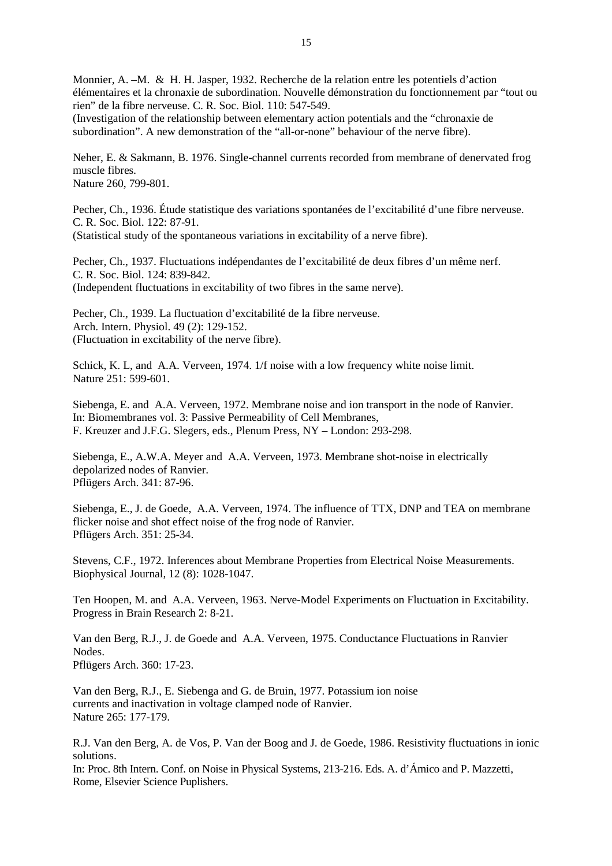Monnier, A. –M. & H. H. Jasper, 1932. Recherche de la relation entre les potentiels d'action élémentaires et la chronaxie de subordination. Nouvelle démonstration du fonctionnement par "tout ou rien" de la fibre nerveuse. C. R. Soc. Biol. 110: 547-549. (Investigation of the relationship between elementary action potentials and the "chronaxie de subordination". A new demonstration of the "all-or-none" behaviour of the nerve fibre).

Neher, E. & Sakmann, B. 1976. Single-channel currents recorded from membrane of denervated frog muscle fibres. Nature 260, 799-801.

Pecher, Ch., 1936. Étude statistique des variations spontanées de l'excitabilité d'une fibre nerveuse. C. R. Soc. Biol. 122: 87-91. (Statistical study of the spontaneous variations in excitability of a nerve fibre).

Pecher, Ch., 1937. Fluctuations indépendantes de l'excitabilité de deux fibres d'un même nerf. C. R. Soc. Biol. 124: 839-842. (Independent fluctuations in excitability of two fibres in the same nerve).

Pecher, Ch., 1939. La fluctuation d'excitabilité de la fibre nerveuse. Arch. Intern. Physiol. 49 (2): 129-152. (Fluctuation in excitability of the nerve fibre).

Schick, K. L, and A.A. Verveen, 1974. 1/f noise with a low frequency white noise limit. Nature 251: 599-601.

Siebenga, E. and A.A. Verveen, 1972. Membrane noise and ion transport in the node of Ranvier. In: Biomembranes vol. 3: Passive Permeability of Cell Membranes, F. Kreuzer and J.F.G. Slegers, eds., Plenum Press, NY – London: 293-298.

Siebenga, E., A.W.A. Meyer and A.A. Verveen, 1973. Membrane shot-noise in electrically depolarized nodes of Ranvier. Pflügers Arch. 341: 87-96.

Siebenga, E., J. de Goede, A.A. Verveen, 1974. The influence of TTX, DNP and TEA on membrane flicker noise and shot effect noise of the frog node of Ranvier. Pflügers Arch. 351: 25-34.

Stevens, C.F., 1972. Inferences about Membrane Properties from Electrical Noise Measurements. Biophysical Journal, 12 (8): 1028-1047.

Ten Hoopen, M. and A.A. Verveen, 1963. Nerve-Model Experiments on Fluctuation in Excitability. Progress in Brain Research 2: 8-21.

Van den Berg, R.J., J. de Goede and A.A. Verveen, 1975. Conductance Fluctuations in Ranvier Nodes. Pflügers Arch. 360: 17-23.

Van den Berg, R.J., E. Siebenga and G. de Bruin, 1977. Potassium ion noise currents and inactivation in voltage clamped node of Ranvier. Nature 265: 177-179.

R.J. Van den Berg, A. de Vos, P. Van der Boog and J. de Goede, 1986. Resistivity fluctuations in ionic solutions.

In: Proc. 8th Intern. Conf. on Noise in Physical Systems, 213-216. Eds. A. d'Ámico and P. Mazzetti, Rome, Elsevier Science Puplishers.